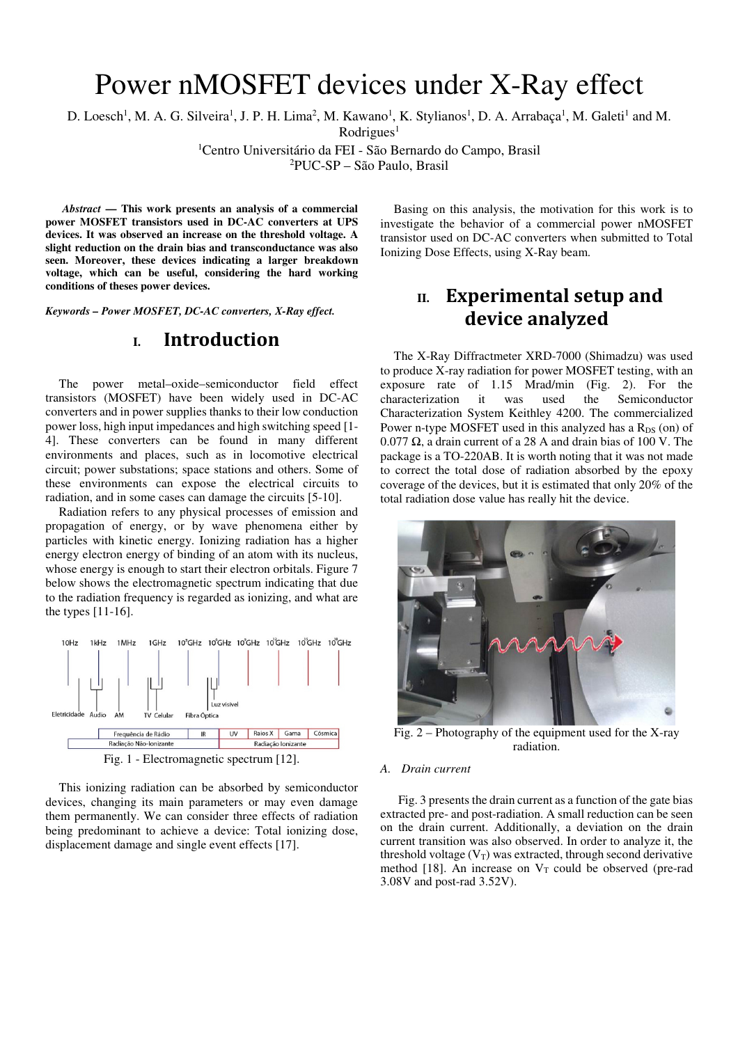# Power nMOSFET devices under X-Ray effect

D. Loesch<sup>1</sup>, M. A. G. Silveira<sup>1</sup>, J. P. H. Lima<sup>2</sup>, M. Kawano<sup>1</sup>, K. Stylianos<sup>1</sup>, D. A. Arrabaça<sup>1</sup>, M. Galeti<sup>1</sup> and M.

Rodrigues<sup>1</sup>

<sup>1</sup>Centro Universitário da FEI - São Bernardo do Campo, Brasil

<sup>2</sup>PUC-SP – São Paulo, Brasil

*Abstract* **— This work presents an analysis of a commercial power MOSFET transistors used in DC-AC converters at UPS devices. It was observed an increase on the threshold voltage. A slight reduction on the drain bias and transconductance was also seen. Moreover, these devices indicating a larger breakdown voltage, which can be useful, considering the hard working conditions of theses power devices.** 

*Keywords – Power MOSFET, DC-AC converters, X-Ray effect.* 

## **I. Introduction**

The power metal–oxide–semiconductor field effect transistors (MOSFET) have been widely used in DC-AC converters and in power supplies thanks to their low conduction power loss, high input impedances and high switching speed [1- 4]. These converters can be found in many different environments and places, such as in locomotive electrical circuit; power substations; space stations and others. Some of these environments can expose the electrical circuits to radiation, and in some cases can damage the circuits [5-10].

Radiation refers to any physical processes of emission and propagation of energy, or by wave phenomena either by particles with kinetic energy. Ionizing radiation has a higher energy electron energy of binding of an atom with its nucleus, whose energy is enough to start their electron orbitals. Figure 7 below shows the electromagnetic spectrum indicating that due to the radiation frequency is regarded as ionizing, and what are the types [11-16].



This ionizing radiation can be absorbed by semiconductor devices, changing its main parameters or may even damage them permanently. We can consider three effects of radiation being predominant to achieve a device: Total ionizing dose, displacement damage and single event effects [17].

Basing on this analysis, the motivation for this work is to investigate the behavior of a commercial power nMOSFET transistor used on DC-AC converters when submitted to Total Ionizing Dose Effects, using X-Ray beam.

# II. **Experimental setup and** device analyzed

The X-Ray Diffractmeter XRD-7000 (Shimadzu) was used to produce X-ray radiation for power MOSFET testing, with an exposure rate of 1.15 Mrad/min (Fig. 2). For the characterization it was used the Semiconductor Characterization System Keithley 4200. The commercialized Power n-type MOSFET used in this analyzed has a  $R_{DS}$  (on) of 0.077 Ω, a drain current of a 28 A and drain bias of 100 V. The package is a TO-220AB. It is worth noting that it was not made to correct the total dose of radiation absorbed by the epoxy coverage of the devices, but it is estimated that only 20% of the total radiation dose value has really hit the device.



Fig. 2 – Photography of the equipment used for the X-ray radiation.

#### *A. Drain current*

Fig. 3 presents the drain current as a function of the gate bias extracted pre- and post-radiation. A small reduction can be seen on the drain current. Additionally, a deviation on the drain current transition was also observed. In order to analyze it, the threshold voltage  $(V_T)$  was extracted, through second derivative method [18]. An increase on  $V_T$  could be observed (pre-rad 3.08V and post-rad 3.52V).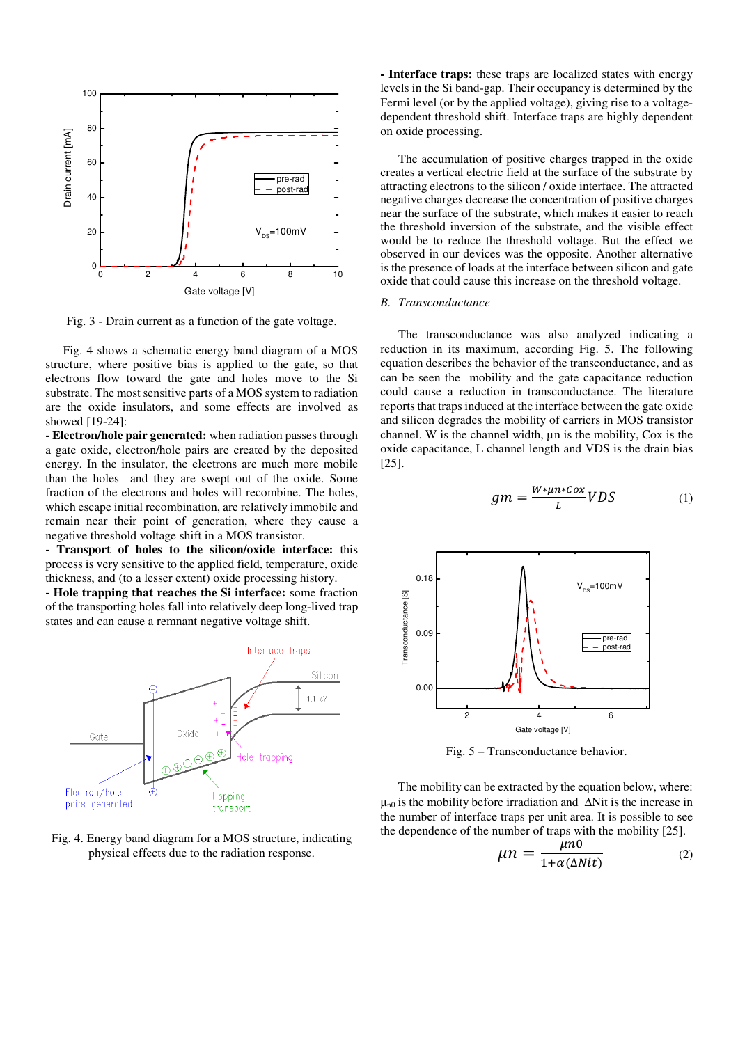

Fig. 3 - Drain current as a function of the gate voltage.

Fig. 4 shows a schematic energy band diagram of a MOS structure, where positive bias is applied to the gate, so that electrons flow toward the gate and holes move to the Si substrate. The most sensitive parts of a MOS system to radiation are the oxide insulators, and some effects are involved as showed [19-24]:

**- Electron/hole pair generated:** when radiation passes through a gate oxide, electron/hole pairs are created by the deposited energy. In the insulator, the electrons are much more mobile than the holes and they are swept out of the oxide. Some fraction of the electrons and holes will recombine. The holes, which escape initial recombination, are relatively immobile and remain near their point of generation, where they cause a negative threshold voltage shift in a MOS transistor.

**- Transport of holes to the silicon/oxide interface:** this process is very sensitive to the applied field, temperature, oxide thickness, and (to a lesser extent) oxide processing history.

**- Hole trapping that reaches the Si interface:** some fraction of the transporting holes fall into relatively deep long-lived trap states and can cause a remnant negative voltage shift.



#### Fig. 4. Energy band diagram for a MOS structure, indicating physical effects due to the radiation response.

**- Interface traps:** these traps are localized states with energy levels in the Si band-gap. Their occupancy is determined by the Fermi level (or by the applied voltage), giving rise to a voltagedependent threshold shift. Interface traps are highly dependent on oxide processing.

The accumulation of positive charges trapped in the oxide creates a vertical electric field at the surface of the substrate by attracting electrons to the silicon / oxide interface. The attracted negative charges decrease the concentration of positive charges near the surface of the substrate, which makes it easier to reach the threshold inversion of the substrate, and the visible effect would be to reduce the threshold voltage. But the effect we observed in our devices was the opposite. Another alternative is the presence of loads at the interface between silicon and gate oxide that could cause this increase on the threshold voltage.

#### *B. Transconductance*

The transconductance was also analyzed indicating a reduction in its maximum, according Fig. 5. The following equation describes the behavior of the transconductance, and as can be seen the mobility and the gate capacitance reduction could cause a reduction in transconductance. The literature reports that traps induced at the interface between the gate oxide and silicon degrades the mobility of carriers in MOS transistor channel. W is the channel width, µn is the mobility, Cox is the oxide capacitance, L channel length and VDS is the drain bias [25].

$$
gm = \frac{W * \mu n * Cox}{L} VDS \tag{1}
$$



Fig. 5 – Transconductance behavior.

The mobility can be extracted by the equation below, where:  $μ<sub>n0</sub>$  is the mobility before irradiation and  $ΔN$ it is the increase in the number of interface traps per unit area. It is possible to see the dependence of the number of traps with the mobility [25].

$$
\mu n = \frac{\mu n 0}{1 + \alpha(\Delta N i t)}
$$
 (2)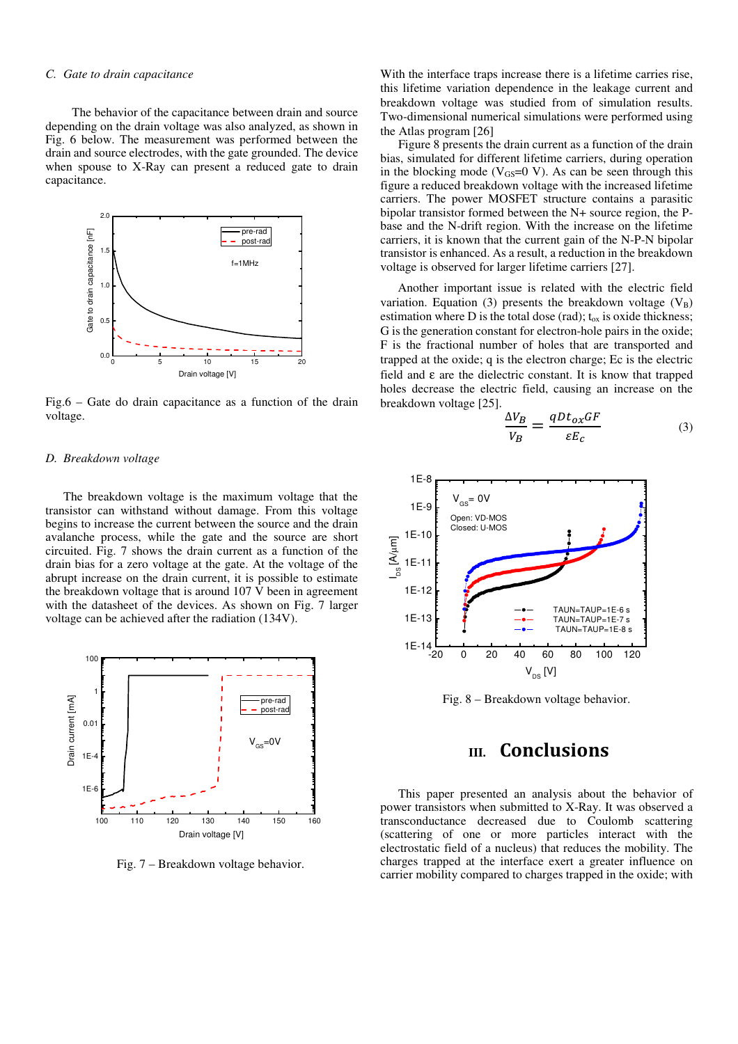#### *C. Gate to drain capacitance*

The behavior of the capacitance between drain and source depending on the drain voltage was also analyzed, as shown in Fig. 6 below. The measurement was performed between the drain and source electrodes, with the gate grounded. The device when spouse to X-Ray can present a reduced gate to drain capacitance.



Fig.6 – Gate do drain capacitance as a function of the drain voltage.

#### *D. Breakdown voltage*

 The breakdown voltage is the maximum voltage that the transistor can withstand without damage. From this voltage begins to increase the current between the source and the drain avalanche process, while the gate and the source are short circuited. Fig. 7 shows the drain current as a function of the drain bias for a zero voltage at the gate. At the voltage of the abrupt increase on the drain current, it is possible to estimate the breakdown voltage that is around 107 V been in agreement with the datasheet of the devices. As shown on Fig. 7 larger voltage can be achieved after the radiation (134V).



Fig. 7 – Breakdown voltage behavior.

With the interface traps increase there is a lifetime carries rise, this lifetime variation dependence in the leakage current and breakdown voltage was studied from of simulation results. Two-dimensional numerical simulations were performed using the Atlas program [26]

 Figure 8 presents the drain current as a function of the drain bias, simulated for different lifetime carriers, during operation in the blocking mode ( $V_{GS}=0$  V). As can be seen through this figure a reduced breakdown voltage with the increased lifetime carriers. The power MOSFET structure contains a parasitic bipolar transistor formed between the N+ source region, the Pbase and the N-drift region. With the increase on the lifetime carriers, it is known that the current gain of the N-P-N bipolar transistor is enhanced. As a result, a reduction in the breakdown voltage is observed for larger lifetime carriers [27].

Another important issue is related with the electric field variation. Equation (3) presents the breakdown voltage  $(V_B)$ estimation where D is the total dose (rad);  $t_{ox}$  is oxide thickness; G is the generation constant for electron-hole pairs in the oxide; F is the fractional number of holes that are transported and trapped at the oxide; q is the electron charge; Ec is the electric field and ε are the dielectric constant. It is know that trapped holes decrease the electric field, causing an increase on the breakdown voltage [25].

$$
\frac{\Delta V_B}{V_B} = \frac{qDt_{ox}GF}{\varepsilon E_c} \tag{3}
$$



Fig. 8 – Breakdown voltage behavior.

### **III. Conclusions**

This paper presented an analysis about the behavior of power transistors when submitted to X-Ray. It was observed a transconductance decreased due to Coulomb scattering (scattering of one or more particles interact with the electrostatic field of a nucleus) that reduces the mobility. The charges trapped at the interface exert a greater influence on carrier mobility compared to charges trapped in the oxide; with